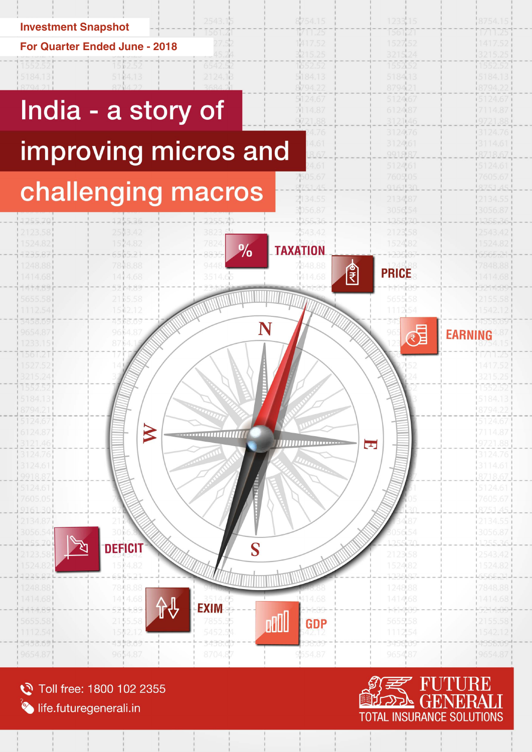

### **For Quarter Ended June - 2018**



8704.8

Toll free: 1800 102 2355 life.futuregenerali.in

RARRAG

 $A \in \mathbb{R}$  $\oplus$   $\in$  (

9654.87



<del>ausska</del>o

965487

654.87

1233

1561

1527.52

mz

417.52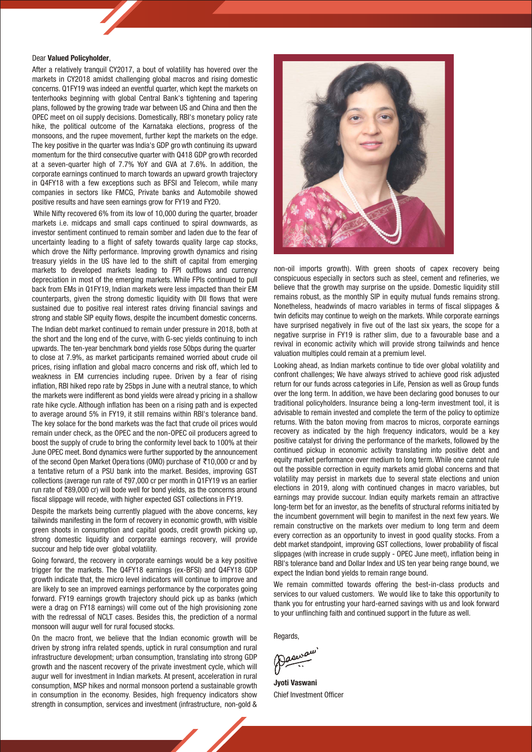### Dear Valued Policyholder,

After a relatively tranquil CY2017, a bout of volatility has hovered over the markets in CY2018 amidst challenging global macros and rising domestic concerns. Q1FY19 was indeed an eventful quarter, which kept the markets on tenterhooks beginning with global Central Bank's tightening and tapering plans, followed by the growing trade war between US and China and then the OPEC meet on oil supply decisions. Domestically, RBI's monetary policy rate hike, the political outcome of the Karnataka elections, progress of the monsoons, and the rupee movement, further kept the markets on the edge. The key positive in the quarter was India's GDP gro wth continuing its upward momentum for the third consecutive quarter with Q418 GDP growth recorded at a seven-quarter high of 7.7% YoY and GVA at 7.6%. In addition, the corporate earnings continued to march towards an upward growth trajectory in Q4FY18 with a few exceptions such as BFSI and Telecom, while many companies in sectors like FMCG, Private banks and Automobile showed positive results and have seen earnings grow for FY19 and FY20.

While Nifty recovered 6% from its low of 10,000 during the quarter, broader markets i.e. midcaps and small caps continued to spiral downwards, as investor sentiment continued to remain somber and laden due to the fear of uncertainty leading to a flight of safety towards quality large cap stocks, which drove the Nifty performance. Improving growth dynamics and rising treasury yields in the US have led to the shift of capital from emerging markets to developed markets leading to FPI outflows and currency depreciation in most of the emerging markets. While FPIs continued to pull back from EMs in Q1FY19, Indian markets were less impacted than their EM counterparts, given the strong domestic liquidity with DII flows that were sustained due to positive real interest rates driving financial savings and strong and stable SIP equity flows, despite the incumbent domestic concerns.

The Indian debt market continued to remain under pressure in 2018, both at the short and the long end of the curve, with G-sec yields continuing to inch upwards. The ten-year benchmark bond yields rose 50bps during the quarter to close at 7.9%, as market participants remained worried about crude oil prices, rising inflation and global macro concerns and risk off, which led to weakness in EM currencies including rupee. Driven by a fear of rising inflation, RBI hiked repo rate by 25bps in June with a neutral stance, to which the markets were indifferent as bond yields were alread y pricing in a shallow rate hike cycle. Although inflation has been on a rising path and is expected to average around 5% in FY19, it still remains within RBI's tolerance band. The key solace for the bond markets was the fact that crude oil prices would remain under check, as the OPEC and the non-OPEC oil producers agreed to boost the supply of crude to bring the conformity level back to 100% at their June OPEC meet. Bond dynamics were further supported by the announcement of the second Open Market Opera tions (OMO) purchase of  $\overline{5}10,000$  cr and by a tentative return of a PSU bank into the market. Besides, improving GST collections (average run rate of  $\overline{597,000}$  cr per month in Q1FY19 vs an earlier run rate of ₹89,000 cr) will bode well for bond yields, as the concerns around fiscal slippage will recede, with higher expected GST collections in FY19.

Despite the markets being currently plagued with the above concerns, key tailwinds manifesting in the form of recovery in economic growth, with visible green shoots in consumption and capital goods, credit growth picking up, strong domestic liquidity and corporate earnings recovery, will provide succour and help tide over global volatility.

Going forward, the recovery in corporate earnings would be a key positive trigger for the markets. The Q4FY18 earnings (ex-BFSI) and Q4FY18 GDP growth indicate that, the micro level indicators will continue to improve and are likely to see an improved earnings performance by the corporates going forward. FY19 earnings growth trajectory should pick up as banks (which were a drag on FY18 earnings) will come out of the high provisioning zone with the redressal of NCLT cases. Besides this, the prediction of a normal monsoon will augur well for rural focused stocks.

On the macro front, we believe that the Indian economic growth will be driven by strong infra related spends, uptick in rural consumption and rural infrastructure development; urban consumption, translating into strong GDP growth and the nascent recovery of the private investment cycle, which will augur well for investment in Indian markets. At present, acceleration in rural consumption, MSP hikes and normal monsoon portend a sustainable growth in consumption in the economy. Besides, high frequency indicators show strength in consumption, services and investment (infrastructure, non-gold &



non-oil imports growth). With green shoots of capex recovery being conspicuous especially in sectors such as steel, cement and refineries, we believe that the growth may surprise on the upside. Domestic liquidity still remains robust, as the monthly SIP in equity mutual funds remains strong. Nonetheless, headwinds of macro variables in terms of fiscal slippages & twin deficits may continue to weigh on the markets. While corporate earnings have surprised negatively in five out of the last six years, the scope for a negative surprise in FY19 is rather slim, due to a favourable base and a revival in economic activity which will provide strong tailwinds and hence valuation multiples could remain at a premium level.

Looking ahead, as Indian markets continue to tide over global volatility and confront challenges; We have always strived to achieve good risk adjusted return for our funds across categories in Life, Pension as well as Group funds over the long term. In addition, we have been declaring good bonuses to our traditional policyholders. Insurance being a long-term investment tool, it is advisable to remain invested and complete the term of the policy to optimize returns. With the baton moving from macros to micros, corporate earnings recovery as indicated by the high frequency indicators, would be a key positive catalyst for driving the performance of the markets, followed by the continued pickup in economic activity translating into positive debt and equity market performance over medium to long term. While one cannot rule out the possible correction in equity markets amid global concerns and that volatility may persist in markets due to several state elections and union elections in 2019, along with continued changes in macro variables, but earnings may provide succour. Indian equity markets remain an attractive long-term bet for an investor, as the benefits of structural reforms initiated by the incumbent government will begin to manifest in the next few years. We remain constructive on the markets over medium to long term and deem every correction as an opportunity to invest in good quality stocks. From a debt market standpoint, improving GST collections, lower probability of fiscal slippages (with increase in crude supply - OPEC June meet), inflation being in RBI's tolerance band and Dollar Index and US ten year being range bound, we expect the Indian bond yields to remain range bound.

We remain committed towards offering the best-in-class products and services to our valued customers. We would like to take this opportunity to thank you for entrusting your hard-earned savings with us and look forward to your unflinching faith and continued support in the future as well.

Regards,

asway

Jyoti Vaswani Chief Investment Officer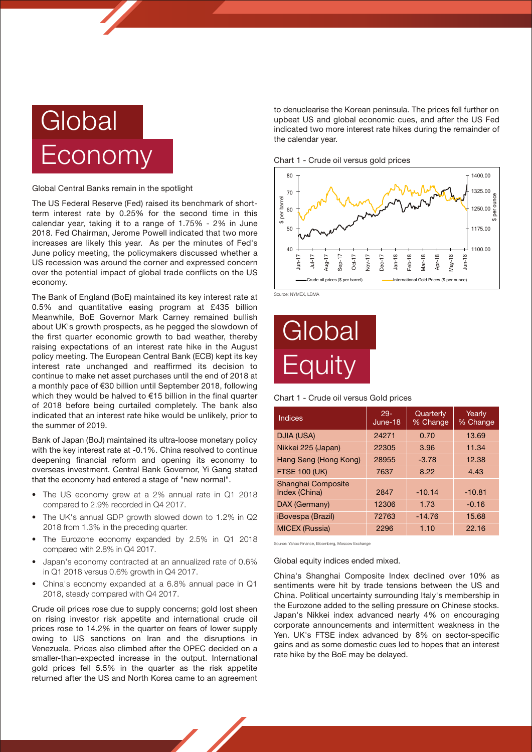# **Global** Economy

#### Global Central Banks remain in the spotlight

The US Federal Reserve (Fed) raised its benchmark of shortterm interest rate by 0.25% for the second time in this calendar year, taking it to a range of 1.75% - 2% in June 2018. Fed Chairman, Jerome Powell indicated that two more increases are likely this year. As per the minutes of Fed's June policy meeting, the policymakers discussed whether a US recession was around the corner and expressed concern over the potential impact of global trade conflicts on the US economy.

The Bank of England (BoE) maintained its key interest rate at 0.5% and quantitative easing program at £435 billion Meanwhile, BoE Governor Mark Carney remained bullish about UK's growth prospects, as he pegged the slowdown of the first quarter economic growth to bad weather, thereby raising expectations of an interest rate hike in the August policy meeting. The European Central Bank (ECB) kept its key interest rate unchanged and reaffirmed its decision to continue to make net asset purchases until the end of 2018 at a monthly pace of €30 billion until September 2018, following which they would be halved to €15 billion in the final quarter of 2018 before being curtailed completely. The bank also indicated that an interest rate hike would be unlikely, prior to the summer of 2019.

Bank of Japan (BoJ) maintained its ultra-loose monetary policy with the key interest rate at -0.1%. China resolved to continue deepening financial reform and opening its economy to overseas investment. Central Bank Governor, Yi Gang stated that the economy had entered a stage of "new normal".

- The US economy grew at a 2% annual rate in Q1 2018 compared to 2.9% recorded in Q4 2017.
- The UK's annual GDP growth slowed down to 1.2% in Q2 2018 from 1.3% in the preceding quarter.
- The Eurozone economy expanded by 2.5% in Q1 2018 compared with 2.8% in Q4 2017.
- Japan's economy contracted at an annualized rate of 0.6% in Q1 2018 versus 0.6% growth in Q4 2017.
- China's economy expanded at a 6.8% annual pace in Q1 2018, steady compared with Q4 2017.

Crude oil prices rose due to supply concerns; gold lost sheen on rising investor risk appetite and international crude oil prices rose to 14.2% in the quarter on fears of lower supply owing to US sanctions on Iran and the disruptions in Venezuela. Prices also climbed after the OPEC decided on a smaller-than-expected increase in the output. International gold prices fell 5.5% in the quarter as the risk appetite returned after the US and North Korea came to an agreement

to denuclearise the Korean peninsula. The prices fell further on upbeat US and global economic cues, and after the US Fed indicated two more interest rate hikes during the remainder of the calendar year.

Chart 1 - Crude oil versus gold prices



Source: NYMEX, LBMA

# **Global Equity**

Chart 1 - Crude oil versus Gold prices

| Indices                             | $29 -$<br>June-18 | Quarterly<br>% Change | Yearly<br>% Change |
|-------------------------------------|-------------------|-----------------------|--------------------|
| DJIA (USA)                          | 24271             | 0.70                  | 13.69              |
| Nikkei 225 (Japan)                  | 22305             | 3.96                  | 11.34              |
| Hang Seng (Hong Kong)               | 28955             | $-3.78$               | 12.38              |
| <b>FTSE 100 (UK)</b>                | 7637              | 8.22                  | 4.43               |
| Shanghai Composite<br>Index (China) | 2847              | $-10.14$              | $-10.81$           |
| DAX (Germany)                       | 12306             | 1.73                  | $-0.16$            |
| <i><b>iBovespa (Brazil)</b></i>     | 72763             | $-14.76$              | 15.68              |
| <b>MICEX (Russia)</b>               | 2296              | 1.10                  | 22.16              |

Source: Yahoo Finance, Bloomberg, Moscow Exchange

Global equity indices ended mixed.

China's Shanghai Composite Index declined over 10% as sentiments were hit by trade tensions between the US and China. Political uncertainty surrounding Italy's membership in the Eurozone added to the selling pressure on Chinese stocks. Japan's Nikkei index advanced nearly 4% on encouraging corporate announcements and intermittent weakness in the Yen. UK's FTSE index advanced by 8% on sector-specific gains and as some domestic cues led to hopes that an interest rate hike by the BoE may be delayed.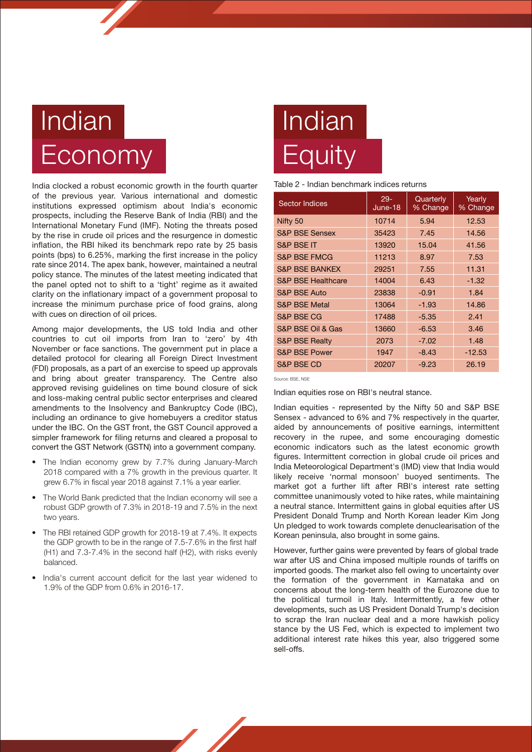## **Indian Economy**

India clocked a robust economic growth in the fourth quarter of the previous year. Various international and domestic institutions expressed optimism about India's economic prospects, including the Reserve Bank of India (RBI) and the International Monetary Fund (IMF). Noting the threats posed by the rise in crude oil prices and the resurgence in domestic inflation, the RBI hiked its benchmark repo rate by 25 basis points (bps) to 6.25%, marking the first increase in the policy rate since 2014. The apex bank, however, maintained a neutral policy stance. The minutes of the latest meeting indicated that the panel opted not to shift to a 'tight' regime as it awaited clarity on the inflationary impact of a government proposal to increase the minimum purchase price of food grains, along with cues on direction of oil prices.

Among major developments, the US told India and other countries to cut oil imports from Iran to 'zero' by 4th November or face sanctions. The government put in place a detailed protocol for clearing all Foreign Direct Investment (FDI) proposals, as a part of an exercise to speed up approvals and bring about greater transparency. The Centre also approved revising guidelines on time bound closure of sick and loss-making central public sector enterprises and cleared amendments to the Insolvency and Bankruptcy Code (IBC), including an ordinance to give homebuyers a creditor status under the IBC. On the GST front, the GST Council approved a simpler framework for filing returns and cleared a proposal to convert the GST Network (GSTN) into a government company.

- The Indian economy grew by 7.7% during January-March 2018 compared with a 7% growth in the previous quarter. It grew 6.7% in fiscal year 2018 against 7.1% a year earlier.
- The World Bank predicted that the Indian economy will see a robust GDP growth of 7.3% in 2018-19 and 7.5% in the next two years.
- The RBI retained GDP growth for 2018-19 at 7.4%. It expects the GDP growth to be in the range of 7.5-7.6% in the first half (H1) and 7.3-7.4% in the second half (H2), with risks evenly balanced.
- India's current account deficit for the last year widened to 1.9% of the GDP from 0.6% in 2016-17.

# Indian **Equity**

### Table 2 - Indian benchmark indices returns

| <b>Sector Indices</b>         | $29 -$<br>June-18 | Quarterly<br>% Change | Yearly<br>% Change |
|-------------------------------|-------------------|-----------------------|--------------------|
| Nifty 50                      | 10714             | 5.94                  | 12.53              |
| <b>S&amp;P BSE Sensex</b>     | 35423             | 7.45                  | 14.56              |
| <b>S&amp;P BSE IT</b>         | 13920             | 15.04                 | 41.56              |
| <b>S&amp;P BSE FMCG</b>       | 11213             | 8.97                  | 7.53               |
| <b>S&amp;P BSE BANKEX</b>     | 29251             | 7.55                  | 11.31              |
| <b>S&amp;P BSE Healthcare</b> | 14004             | 6.43                  | $-1.32$            |
| <b>S&amp;P BSE Auto</b>       | 23838             | $-0.91$               | 1.84               |
| <b>S&amp;P BSE Metal</b>      | 13064             | $-1.93$               | 14.86              |
| <b>S&amp;P BSE CG</b>         | 17488             | $-5.35$               | 2.41               |
| S&P BSE Oil & Gas             | 13660             | $-6.53$               | 3.46               |
| <b>S&amp;P BSE Realty</b>     | 2073              | $-7.02$               | 1.48               |
| <b>S&amp;P BSE Power</b>      | 1947              | $-8.43$               | $-12.53$           |
| <b>S&amp;P BSE CD</b>         | 20207             | $-9.23$               | 26.19              |

Source: BSE, NSE

Indian equities rose on RBI's neutral stance.

Indian equities - represented by the Nifty 50 and S&P BSE Sensex - advanced to 6% and 7% respectively in the quarter, aided by announcements of positive earnings, intermittent recovery in the rupee, and some encouraging domestic economic indicators such as the latest economic growth figures. Intermittent correction in global crude oil prices and India Meteorological Department's (IMD) view that India would likely receive 'normal monsoon' buoyed sentiments. The market got a further lift after RBI's interest rate setting committee unanimously voted to hike rates, while maintaining a neutral stance. Intermittent gains in global equities after US President Donald Trump and North Korean leader Kim Jong Un pledged to work towards complete denuclearisation of the Korean peninsula, also brought in some gains.

However, further gains were prevented by fears of global trade war after US and China imposed multiple rounds of tariffs on imported goods. The market also fell owing to uncertainty over the formation of the government in Karnataka and on concerns about the long-term health of the Eurozone due to the political turmoil in Italy. Intermittently, a few other developments, such as US President Donald Trump's decision to scrap the Iran nuclear deal and a more hawkish policy stance by the US Fed, which is expected to implement two additional interest rate hikes this year, also triggered some sell-offs.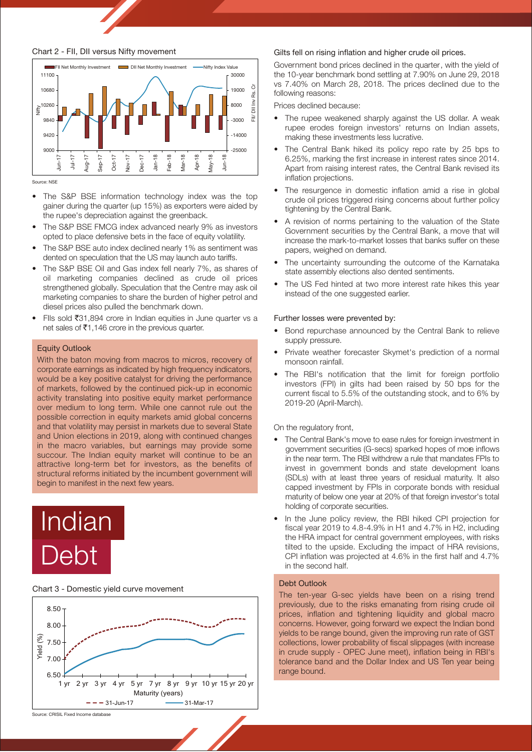### Chart 2 - FII, DII versus Nifty movement



Source: NSE

- The S&P BSE information technology index was the top gainer during the quarter (up 15%) as exporters were aided by the rupee's depreciation against the greenback.
- The S&P BSE FMCG index advanced nearly 9% as investors opted to place defensive bets in the face of equity volatility.
- The S&P BSE auto index declined nearly 1% as sentiment was dented on speculation that the US may launch auto tariffs.
- The S&P BSE Oil and Gas index fell nearly 7%, as shares of oil marketing companies declined as crude oil prices strengthened globally. Speculation that the Centre may ask oil marketing companies to share the burden of higher petrol and diesel prices also pulled the benchmark down.
- FIIs sold  $\overline{31,894}$  crore in Indian equities in June quarter vs a net sales of  $\bar{z}$ 1,146 crore in the previous quarter.

#### Equity Outlook

With the baton moving from macros to micros, recovery of corporate earnings as indicated by high frequency indicators, would be a key positive catalyst for driving the performance of markets, followed by the continued pick-up in economic activity translating into positive equity market performance over medium to long term. While one cannot rule out the possible correction in equity markets amid global concerns and that volatility may persist in markets due to several State and Union elections in 2019, along with continued changes in the macro variables, but earnings may provide some succour. The Indian equity market will continue to be an attractive long-term bet for investors, as the benefits of structural reforms initiated by the incumbent government will begin to manifest in the next few years.

### Indian Debt

#### Chart 3 - Domestic yield curve movement



#### Gilts fell on rising inflation and higher crude oil prices.

Government bond prices declined in the quarter, with the yield of the 10-year benchmark bond settling at 7.90% on June 29, 2018 vs 7.40% on March 28, 2018. The prices declined due to the following reasons:

Prices declined because:

- The rupee weakened sharply against the US dollar. A weak rupee erodes foreign investors' returns on Indian assets, making these investments less lucrative.
- The Central Bank hiked its policy repo rate by 25 bps to 6.25%, marking the first increase in interest rates since 2014. Apart from raising interest rates, the Central Bank revised its inflation projections.
- The resurgence in domestic inflation amid a rise in global crude oil prices triggered rising concerns about further policy tightening by the Central Bank.
- A revision of norms pertaining to the valuation of the State Government securities by the Central Bank, a move that will increase the mark-to-market losses that banks suffer on these papers, weighed on demand.
- The uncertainty surrounding the outcome of the Karnataka state assembly elections also dented sentiments.
- The US Fed hinted at two more interest rate hikes this year instead of the one suggested earlier.

### Further losses were prevented by:

- Bond repurchase announced by the Central Bank to relieve supply pressure.
- Private weather forecaster Skymet's prediction of a normal monsoon rainfall.
- The RBI's notification that the limit for foreign portfolio investors (FPI) in gilts had been raised by 50 bps for the current fiscal to 5.5% of the outstanding stock, and to 6% by 2019-20 (April-March).

#### On the regulatory front,

- The Central Bank's move to ease rules for foreign investment in government securities (G-secs) sparked hopes of more inflows in the near term. The RBI withdrew a rule that mandates FPIs to invest in government bonds and state development loans (SDLs) with at least three years of residual maturity. It also capped investment by FPIs in corporate bonds with residual maturity of below one year at 20% of that foreign investor's total holding of corporate securities.
- In the June policy review, the RBI hiked CPI projection for fiscal year 2019 to 4.8-4.9% in H1 and 4.7% in H2, including the HRA impact for central government employees, with risks tilted to the upside. Excluding the impact of HRA revisions, CPI inflation was projected at 4.6% in the first half and 4.7% in the second half.

#### Debt Outlook

The ten-year G-sec yields have been on a rising trend previously, due to the risks emanating from rising crude oil prices, inflation and tightening liquidity and global macro concerns. However, going forward we expect the Indian bond yields to be range bound, given the improving run rate of GST collections, lower probability of fiscal slippages (with increase in crude supply - OPEC June meet), inflation being in RBI's tolerance band and the Dollar Index and US Ten year being range bound.